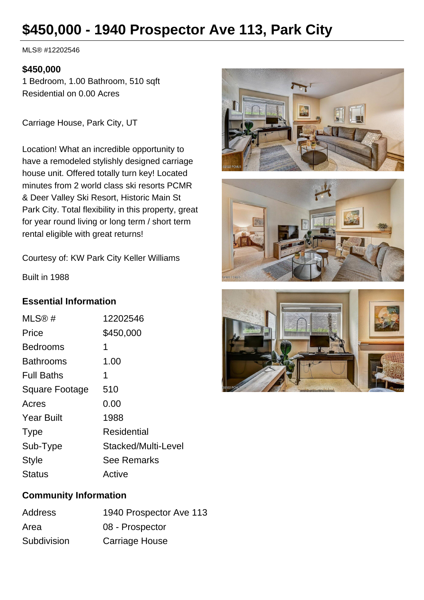# **\$450,000 - 1940 Prospector Ave 113, Park City**

MLS® #12202546

#### **\$450,000**

1 Bedroom, 1.00 Bathroom, 510 sqft Residential on 0.00 Acres

Carriage House, Park City, UT

Location! What an incredible opportunity to have a remodeled stylishly designed carriage house unit. Offered totally turn key! Located minutes from 2 world class ski resorts PCMR & Deer Valley Ski Resort, Historic Main St Park City. Total flexibility in this property, great for year round living or long term / short term rental eligible with great returns!

Courtesy of: KW Park City Keller Williams

Built in 1988

# **Essential Information**

| MLS@#             | 12202546            |
|-------------------|---------------------|
| Price             | \$450,000           |
| Bedrooms          | 1                   |
| <b>Bathrooms</b>  | 1.00                |
| <b>Full Baths</b> | 1                   |
| Square Footage    | 510                 |
| Acres             | 0.00                |
| <b>Year Built</b> | 1988                |
| <b>Type</b>       | <b>Residential</b>  |
| Sub-Type          | Stacked/Multi-Level |
| <b>Style</b>      | <b>See Remarks</b>  |
| <b>Status</b>     | Active              |

# **Community Information**

| <b>Address</b> | 1940 Prospector Ave 113 |
|----------------|-------------------------|
| Area           | 08 - Prospector         |
| Subdivision    | Carriage House          |





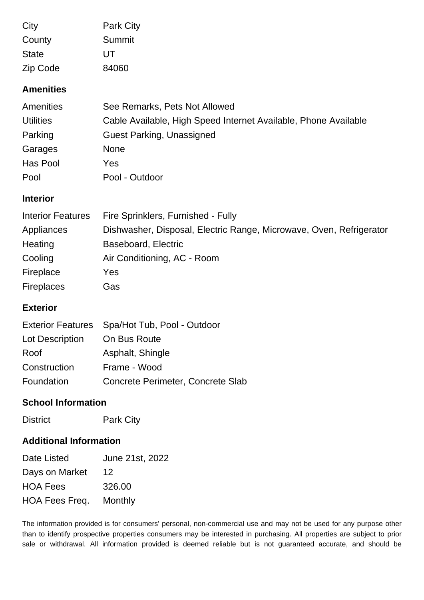| City         | <b>Park City</b> |
|--------------|------------------|
| County       | Summit           |
| <b>State</b> | UT               |
| Zip Code     | 84060            |

### **Amenities**

| Amenities        | See Remarks, Pets Not Allowed                                   |
|------------------|-----------------------------------------------------------------|
| <b>Utilities</b> | Cable Available, High Speed Internet Available, Phone Available |
| Parking          | <b>Guest Parking, Unassigned</b>                                |
| Garages          | <b>None</b>                                                     |
| Has Pool         | Yes.                                                            |
| Pool             | Pool - Outdoor                                                  |

#### **Interior**

| <b>Interior Features</b> | Fire Sprinklers, Furnished - Fully                                  |
|--------------------------|---------------------------------------------------------------------|
| Appliances               | Dishwasher, Disposal, Electric Range, Microwave, Oven, Refrigerator |
| Heating                  | Baseboard, Electric                                                 |
| Cooling                  | Air Conditioning, AC - Room                                         |
| Fireplace                | Yes                                                                 |
| <b>Fireplaces</b>        | Gas                                                                 |

#### **Exterior**

|                 | Exterior Features Spa/Hot Tub, Pool - Outdoor |
|-----------------|-----------------------------------------------|
| Lot Description | On Bus Route                                  |
| Roof            | Asphalt, Shingle                              |
| Construction    | Frame - Wood                                  |
| Foundation      | Concrete Perimeter, Concrete Slab             |

# **School Information**

District Park City

# **Additional Information**

| Date Listed     | June 21st, 2022 |
|-----------------|-----------------|
| Days on Market  | 12              |
| <b>HOA Fees</b> | 326.00          |
| HOA Fees Freq.  | Monthly         |

The information provided is for consumers' personal, non-commercial use and may not be used for any purpose other than to identify prospective properties consumers may be interested in purchasing. All properties are subject to prior sale or withdrawal. All information provided is deemed reliable but is not guaranteed accurate, and should be